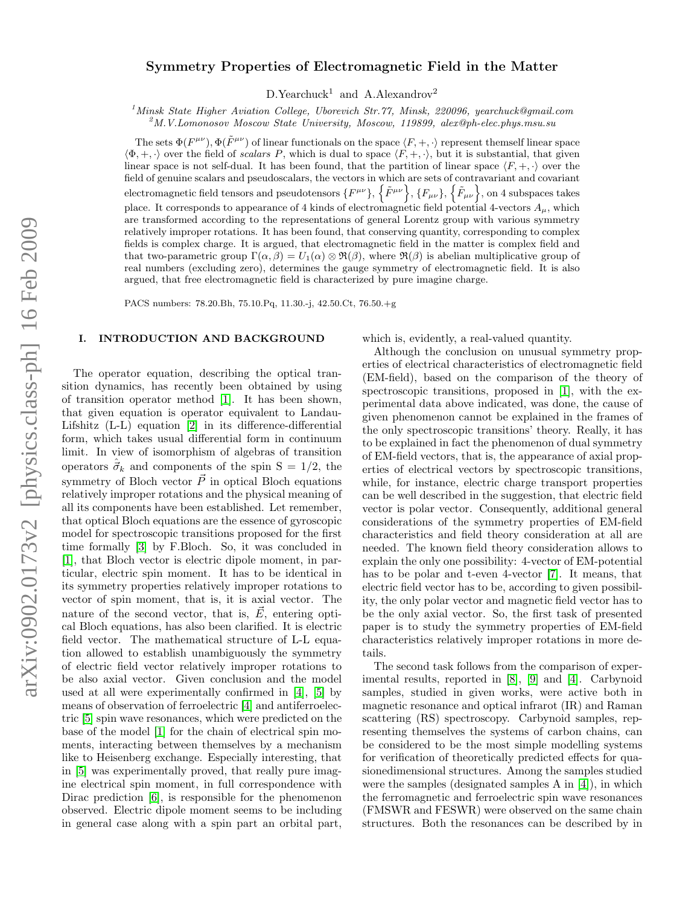# Symmetry Properties of Electromagnetic Field in the Matter

 $D.Yearchuck<sup>1</sup>$  and A.Alexandrov<sup>2</sup>

<sup>1</sup> Minsk State Higher Aviation College, Uborevich Str.77, Minsk, 220096, yearchuck@gmail.com

 $^{2}$ M.V.Lomonosov Moscow State University, Moscow, 119899, alex@ph-elec.phys.msu.su

The sets  $\Phi(F^{\mu\nu}), \Phi(\tilde{F}^{\mu\nu})$  of linear functionals on the space  $\langle F, +, \cdot \rangle$  represent themself linear space  $\langle \Phi, +, \cdot \rangle$  over the field of scalars P, which is dual to space  $\langle F, +, \cdot \rangle$ , but it is substantial, that given linear space is not self-dual. It has been found, that the partition of linear space  $\langle F, +, \cdot \rangle$  over the field of genuine scalars and pseudoscalars, the vectors in which are sets of contravariant and covariant electromagnetic field tensors and pseudotensors  $\{F^{\mu\nu}\}, \{\tilde{F}^{\mu\nu}\}, \{F_{\mu\nu}\}, \{\tilde{F}_{\mu\nu}\},$  on 4 subspaces takes place. It corresponds to appearance of 4 kinds of electromagnetic field potential 4-vectors  $A_{\mu}$ , which are transformed according to the representations of general Lorentz group with various symmetry relatively improper rotations. It has been found, that conserving quantity, corresponding to complex fields is complex charge. It is argued, that electromagnetic field in the matter is complex field and that two-parametric group  $\Gamma(\alpha, \beta) = U_1(\alpha) \otimes \Re(\beta)$ , where  $\Re(\beta)$  is abelian multiplicative group of real numbers (excluding zero), determines the gauge symmetry of electromagnetic field. It is also argued, that free electromagnetic field is characterized by pure imagine charge.

PACS numbers: 78.20.Bh, 75.10.Pq, 11.30.-j, 42.50.Ct, 76.50.+g

# I. INTRODUCTION AND BACKGROUND

The operator equation, describing the optical transition dynamics, has recently been obtained by using of transition operator method [\[1\]](#page-7-0). It has been shown, that given equation is operator equivalent to Landau-Lifshitz (L-L) equation [\[2\]](#page-7-1) in its difference-differential form, which takes usual differential form in continuum limit. In view of isomorphism of algebras of transition operators  $\vec{\sigma}_k$  and components of the spin S = 1/2, the symmetry of Bloch vector  $\vec{P}$  in optical Bloch equations relatively improper rotations and the physical meaning of all its components have been established. Let remember, that optical Bloch equations are the essence of gyroscopic model for spectroscopic transitions proposed for the first time formally [\[3\]](#page-7-2) by F.Bloch. So, it was concluded in [\[1\]](#page-7-0), that Bloch vector is electric dipole moment, in particular, electric spin moment. It has to be identical in its symmetry properties relatively improper rotations to vector of spin moment, that is, it is axial vector. The nature of the second vector, that is,  $\vec{E}$ , entering optical Bloch equations, has also been clarified. It is electric field vector. The mathematical structure of L-L equation allowed to establish unambiguously the symmetry of electric field vector relatively improper rotations to be also axial vector. Given conclusion and the model used at all were experimentally confirmed in [\[4\]](#page-7-3), [\[5\]](#page-7-4) by means of observation of ferroelectric [\[4\]](#page-7-3) and antiferroelectric [\[5\]](#page-7-4) spin wave resonances, which were predicted on the base of the model [\[1\]](#page-7-0) for the chain of electrical spin moments, interacting between themselves by a mechanism like to Heisenberg exchange. Especially interesting, that in [\[5\]](#page-7-4) was experimentally proved, that really pure imagine electrical spin moment, in full correspondence with Dirac prediction [\[6\]](#page-7-5), is responsible for the phenomenon observed. Electric dipole moment seems to be including in general case along with a spin part an orbital part,

which is, evidently, a real-valued quantity.

Although the conclusion on unusual symmetry properties of electrical characteristics of electromagnetic field (EM-field), based on the comparison of the theory of spectroscopic transitions, proposed in [\[1\]](#page-7-0), with the experimental data above indicated, was done, the cause of given phenomenon cannot be explained in the frames of the only spectroscopic transitions' theory. Really, it has to be explained in fact the phenomenon of dual symmetry of EM-field vectors, that is, the appearance of axial properties of electrical vectors by spectroscopic transitions, while, for instance, electric charge transport properties can be well described in the suggestion, that electric field vector is polar vector. Consequently, additional general considerations of the symmetry properties of EM-field characteristics and field theory consideration at all are needed. The known field theory consideration allows to explain the only one possibility: 4-vector of EM-potential has to be polar and t-even 4-vector [\[7\]](#page-7-6). It means, that electric field vector has to be, according to given possibility, the only polar vector and magnetic field vector has to be the only axial vector. So, the first task of presented paper is to study the symmetry properties of EM-field characteristics relatively improper rotations in more details.

The second task follows from the comparison of experimental results, reported in [\[8\]](#page-7-7), [\[9\]](#page-7-8) and [\[4\]](#page-7-3). Carbynoid samples, studied in given works, were active both in magnetic resonance and optical infrarot (IR) and Raman scattering (RS) spectroscopy. Carbynoid samples, representing themselves the systems of carbon chains, can be considered to be the most simple modelling systems for verification of theoretically predicted effects for quasionedimensional structures. Among the samples studied were the samples (designated samples A in [\[4\]](#page-7-3)), in which the ferromagnetic and ferroelectric spin wave resonances (FMSWR and FESWR) were observed on the same chain structures. Both the resonances can be described by in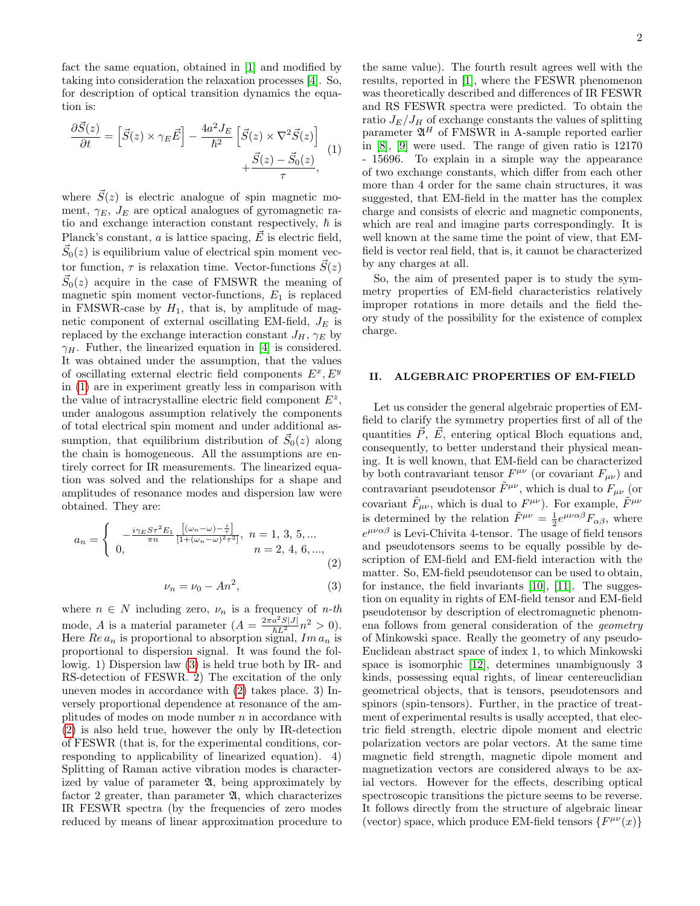fact the same equation, obtained in [\[1\]](#page-7-0) and modified by taking into consideration the relaxation processes [\[4\]](#page-7-3). So, for description of optical transition dynamics the equation is:

<span id="page-1-0"></span>
$$
\frac{\partial \vec{S}(z)}{\partial t} = \left[ \vec{S}(z) \times \gamma_E \vec{E} \right] - \frac{4a^2 J_E}{\hbar^2} \left[ \vec{S}(z) \times \nabla^2 \vec{S}(z) \right] + \frac{\vec{S}(z) - \vec{S}_0(z)}{\tau}, \tag{1}
$$

where  $\vec{S}(z)$  is electric analogue of spin magnetic moment,  $\gamma_E$ ,  $J_E$  are optical analogues of gyromagnetic ratio and exchange interaction constant respectively,  $\hbar$  is Planck's constant, a is lattice spacing,  $\vec{E}$  is electric field,  $\vec{S}_0(z)$  is equilibrium value of electrical spin moment vector function,  $\tau$  is relaxation time. Vector-functions  $\vec{S}(z)$  $\vec{S}_0(z)$  acquire in the case of FMSWR the meaning of magnetic spin moment vector-functions,  $E_1$  is replaced in FMSWR-case by  $H_1$ , that is, by amplitude of magnetic component of external oscillating EM-field,  $J_E$  is replaced by the exchange interaction constant  $J_H$ ,  $\gamma_E$  by  $\gamma_H$ . Futher, the linearized equation in [\[4\]](#page-7-3) is considered. It was obtained under the assumption, that the values of oscillating external electric field components  $E^x, E^y$ in [\(1\)](#page-1-0) are in experiment greatly less in comparison with the value of intracrystalline electric field component  $E^z$ , under analogous assumption relatively the components of total electrical spin moment and under additional assumption, that equilibrium distribution of  $\vec{S}_0(z)$  along the chain is homogeneous. All the assumptions are entirely correct for IR measurements. The linearized equation was solved and the relationships for a shape and amplitudes of resonance modes and dispersion law were obtained. They are:

<span id="page-1-2"></span>
$$
a_n = \begin{cases} \n-\frac{i\gamma_E S \tau^2 E_1}{\pi n} \frac{\left[ (\omega_n - \omega) - \frac{i}{\tau} \right]}{\left[ 1 + (\omega_n - \omega)^2 \tau^2 \right]}, & n = 1, 3, 5, \dots \\
0, & n = 2, 4, 6, \dots,\n\end{cases}
$$
\n(2)

<span id="page-1-1"></span>
$$
\nu_n = \nu_0 - An^2,\tag{3}
$$

where  $n \in N$  including zero,  $\nu_n$  is a frequency of *n*-th mode, A is a material parameter  $(A = \frac{2\pi a^2 S |J|}{\hbar L^2} n^2 > 0)$ . Here  $Re\, a_n$  is proportional to absorption signal,  $Im\, a_n$  is proportional to dispersion signal. It was found the followig. 1) Dispersion law [\(3\)](#page-1-1) is held true both by IR- and RS-detection of FESWR. 2) The excitation of the only uneven modes in accordance with [\(2\)](#page-1-2) takes place. 3) Inversely proportional dependence at resonance of the amplitudes of modes on mode number  $n$  in accordance with [\(2\)](#page-1-2) is also held true, however the only by IR-detection of FESWR (that is, for the experimental conditions, corresponding to applicability of linearized equation). 4) Splitting of Raman active vibration modes is characterized by value of parameter  $\mathfrak{A}$ , being approximately by factor 2 greater, than parameter  $\mathfrak{A}$ , which characterizes IR FESWR spectra (by the frequencies of zero modes reduced by means of linear approximation procedure to

the same value). The fourth result agrees well with the results, reported in [\[1\]](#page-7-0), where the FESWR phenomenon was theoretically described and differences of IR FESWR and RS FESWR spectra were predicted. To obtain the ratio  $J_E/J_H$  of exchange constants the values of splitting parameter  $\mathfrak{A}^H$  of FMSWR in A-sample reported earlier in [\[8\]](#page-7-7), [\[9\]](#page-7-8) were used. The range of given ratio is 12170 - 15696. To explain in a simple way the appearance of two exchange constants, which differ from each other more than 4 order for the same chain structures, it was suggested, that EM-field in the matter has the complex charge and consists of elecric and magnetic components, which are real and imagine parts correspondingly. It is well known at the same time the point of view, that EMfield is vector real field, that is, it cannot be characterized by any charges at all.

So, the aim of presented paper is to study the symmetry properties of EM-field characteristics relatively improper rotations in more details and the field theory study of the possibility for the existence of complex charge.

# II. ALGEBRAIC PROPERTIES OF EM-FIELD

Let us consider the general algebraic properties of EMfield to clarify the symmetry properties first of all of the quantities  $\vec{P}$ ,  $\vec{E}$ , entering optical Bloch equations and, consequently, to better understand their physical meaning. It is well known, that EM-field can be characterized by both contravariant tensor  $F^{\mu\nu}$  (or covariant  $F_{\mu\nu}$ ) and contravariant pseudotensor  $\tilde{F}^{\mu\nu}$ , which is dual to  $F_{\mu\nu}$  (or covariant  $\tilde{F}_{\mu\nu}$ , which is dual to  $F^{\mu\nu}$ ). For example,  $\tilde{F}^{\mu\nu}$ is determined by the relation  $\tilde{F}^{\mu\nu} = \frac{1}{2} e^{\mu\nu\alpha\beta} F_{\alpha\beta}$ , where  $e^{\mu\nu\alpha\beta}$  is Levi-Chivita 4-tensor. The usage of field tensors and pseudotensors seems to be equally possible by description of EM-field and EM-field interaction with the matter. So, EM-field pseudotensor can be used to obtain, for instance, the field invariants [\[10\]](#page-7-9), [\[11\]](#page-7-10). The suggestion on equality in rights of EM-field tensor and EM-field pseudotensor by description of electromagnetic phenomena follows from general consideration of the geometry of Minkowski space. Really the geometry of any pseudo-Euclidean abstract space of index 1, to which Minkowski space is isomorphic [\[12\]](#page-7-11), determines unambiguously 3 kinds, possessing equal rights, of linear centereuclidian geometrical objects, that is tensors, pseudotensors and spinors (spin-tensors). Further, in the practice of treatment of experimental results is usally accepted, that electric field strength, electric dipole moment and electric polarization vectors are polar vectors. At the same time magnetic field strength, magnetic dipole moment and magnetization vectors are considered always to be axial vectors. However for the effects, describing optical spectroscopic transitions the picture seems to be reverse. It follows directly from the structure of algebraic linear (vector) space, which produce EM-field tensors  $\{F^{\mu\nu}(x)\}$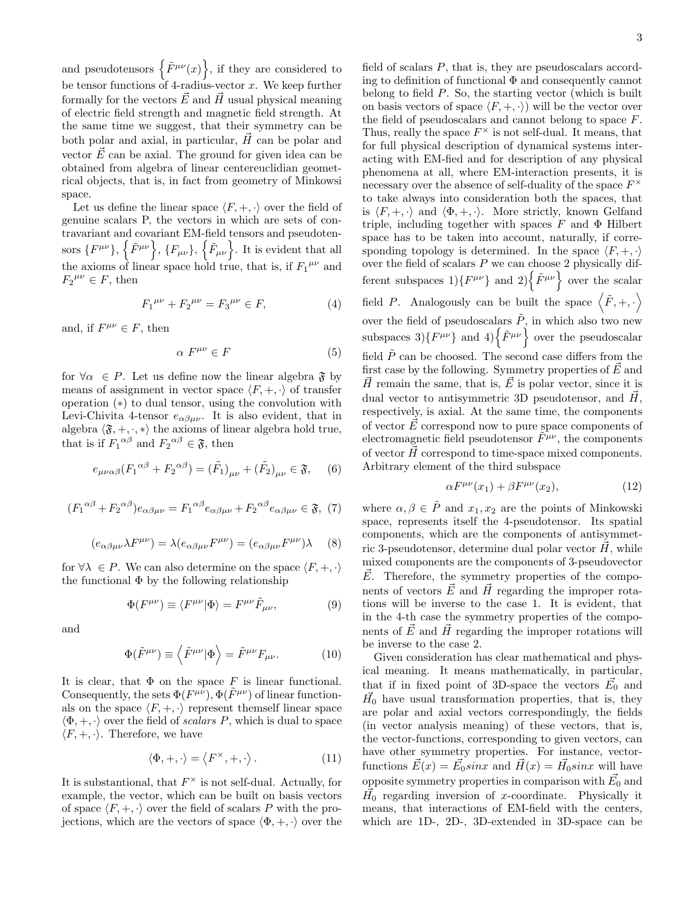and pseudotensors  $\{\tilde{F}^{\mu\nu}(x)\}\,$  if they are considered to be tensor functions of 4-radius-vector  $x$ . We keep further formally for the vectors  $\vec{E}$  and  $\vec{H}$  usual physical meaning of electric field strength and magnetic field strength. At the same time we suggest, that their symmetry can be both polar and axial, in particular,  $\vec{H}$  can be polar and vector  $\vec{E}$  can be axial. The ground for given idea can be obtained from algebra of linear centereuclidian geometrical objects, that is, in fact from geometry of Minkowsi space.

Let us define the linear space  $\langle F, +, \cdot \rangle$  over the field of genuine scalars P, the vectors in which are sets of contravariant and covariant EM-field tensors and pseudotensors  $\{F^{\mu\nu}\}, \{\tilde{F}_{\mu\nu}\}, \{\tilde{F}_{\mu\nu}\}.$  It is evident that all the axioms of linear space hold true, that is, if  $F_1^{\mu\nu}$  and  $F_2^{\mu\nu} \in F$ , then

$$
F_1^{\mu\nu} + F_2^{\mu\nu} = F_3^{\mu\nu} \in F,\tag{4}
$$

and, if  $F^{\mu\nu} \in F$ , then

$$
\alpha \ F^{\mu\nu} \in F \tag{5}
$$

for  $\forall \alpha \in P$ . Let us define now the linear algebra  $\mathfrak{F}$  by means of assignment in vector space  $\langle F, +, \cdot \rangle$  of transfer operation (∗) to dual tensor, using the convolution with Levi-Chivita 4-tensor  $e_{\alpha\beta\mu\nu}$ . It is also evident, that in algebra  $\langle \mathfrak{F}, +, \cdot, * \rangle$  the axioms of linear algebra hold true, that is if  $F_1^{\alpha\beta}$  and  $F_2^{\alpha\beta} \in \mathfrak{F}$ , then

$$
e_{\mu\nu\alpha\beta}(F_1^{\alpha\beta} + F_2^{\alpha\beta}) = (\tilde{F}_1)_{\mu\nu} + (\tilde{F}_2)_{\mu\nu} \in \mathfrak{F}, \quad (6)
$$

$$
(F_1^{\alpha\beta} + F_2^{\alpha\beta})e_{\alpha\beta\mu\nu} = F_1^{\alpha\beta}e_{\alpha\beta\mu\nu} + F_2^{\alpha\beta}e_{\alpha\beta\mu\nu} \in \mathfrak{F}, (7)
$$

$$
(e_{\alpha\beta\mu\nu}\lambda F^{\mu\nu}) = \lambda(e_{\alpha\beta\mu\nu}F^{\mu\nu}) = (e_{\alpha\beta\mu\nu}F^{\mu\nu})\lambda \quad (8)
$$

for  $\forall \lambda \in P$ . We can also determine on the space  $\langle F, +, \cdot \rangle$ the functional  $\Phi$  by the following relationship

$$
\Phi(F^{\mu\nu}) \equiv \langle F^{\mu\nu} | \Phi \rangle = F^{\mu\nu} \tilde{F}_{\mu\nu}, \tag{9}
$$

and

$$
\Phi(\tilde{F}^{\mu\nu}) \equiv \left\langle \tilde{F}^{\mu\nu} | \Phi \right\rangle = \tilde{F}^{\mu\nu} F_{\mu\nu}.
$$
 (10)

It is clear, that  $\Phi$  on the space F is linear functional. Consequently, the sets  $\Phi(F^{\mu\nu}), \Phi(\tilde{F}^{\mu\nu})$  of linear functionals on the space  $\langle F, +, \cdot \rangle$  represent themself linear space  $\langle \Phi, +, \cdot \rangle$  over the field of scalars P, which is dual to space  $\langle F, +, \cdot \rangle$ . Therefore, we have

$$
\langle \Phi, +, \cdot \rangle = \langle F^{\times}, +, \cdot \rangle. \tag{11}
$$

It is substantional, that  $F^{\times}$  is not self-dual. Actually, for example, the vector, which can be built on basis vectors of space  $\langle F, +, \cdot \rangle$  over the field of scalars P with the projections, which are the vectors of space  $\langle \Phi, +, \cdot \rangle$  over the

field of scalars P, that is, they are pseudoscalars according to definition of functional  $\Phi$  and consequently cannot belong to field P. So, the starting vector (which is built on basis vectors of space  $\langle F, +, \cdot \rangle$  will be the vector over the field of pseudoscalars and cannot belong to space F. Thus, really the space  $F^{\times}$  is not self-dual. It means, that for full physical description of dynamical systems interacting with EM-fied and for description of any physical phenomena at all, where EM-interaction presents, it is necessary over the absence of self-duality of the space  $F^{\times}$ to take always into consideration both the spaces, that is  $\langle F, +, \cdot \rangle$  and  $\langle \Phi, +, \cdot \rangle$ . More strictly, known Gelfand triple, including together with spaces  $F$  and  $\Phi$  Hilbert space has to be taken into account, naturally, if corresponding topology is determined. In the space  $\langle F, +, \cdot \rangle$ over the field of scalars  $P$  we can choose 2 physically different subspaces  $1$ } $\{F^{\mu\nu}\}\$  and  $2$ } $\{\tilde{F}^{\mu\nu}\}\$  over the scalar field P. Analogously can be built the space  $\langle \tilde{F}, +, \cdot \rangle$ over the field of pseudoscalars  $\tilde{P}$ , in which also two new subspaces 3) $\{F^{\mu\nu}\}\$ and 4) $\{\tilde{F}^{\mu\nu}\}\$ over the pseudoscalar field  $\tilde{P}$  can be choosed. The second case differs from the first case by the following. Symmetry properties of  $\vec{E}$  and  $\vec{H}$  remain the same, that is,  $\vec{E}$  is polar vector, since it is dual vector to antisymmetric 3D pseudotensor, and  $\vec{H}$ , respectively, is axial. At the same time, the components of vector  $\vec{E}$  correspond now to pure space components of electromagnetic field pseudotensor  $\tilde{F}^{\mu\nu}$ , the components of vector  $\vec{H}$  correspond to time-space mixed components. Arbitrary element of the third subspace

$$
\alpha F^{\mu\nu}(x_1) + \beta F^{\mu\nu}(x_2),\tag{12}
$$

where  $\alpha, \beta \in \tilde{P}$  and  $x_1, x_2$  are the points of Minkowski space, represents itself the 4-pseudotensor. Its spatial components, which are the components of antisymmetric 3-pseudotensor, determine dual polar vector  $\vec{H}$ , while mixed components are the components of 3-pseudovector  $E$ . Therefore, the symmetry properties of the components of vectors  $\vec{E}$  and  $\vec{H}$  regarding the improper rotations will be inverse to the case 1. It is evident, that in the 4-th case the symmetry properties of the components of  $\vec{E}$  and  $\vec{H}$  regarding the improper rotations will be inverse to the case 2.

Given consideration has clear mathematical and physical meaning. It means mathematically, in particular, that if in fixed point of 3D-space the vectors  $\vec{E_0}$  and  $\vec{H_0}$  have usual transformation properties, that is, they are polar and axial vectors correspondingly, the fields (in vector analysis meaning) of these vectors, that is, the vector-functions, corresponding to given vectors, can have other symmetry properties. For instance, vectorfunctions  $\vec{E}(x) = \vec{E_0} \sin x$  and  $\vec{H}(x) = \vec{H_0} \sin x$  will have opposite symmetry properties in comparison with  $\vec{E_0}$  and  $\vec{H}_0$  regarding inversion of x-coordinate. Physically it means, that interactions of EM-field with the centers, which are 1D-, 2D-, 3D-extended in 3D-space can be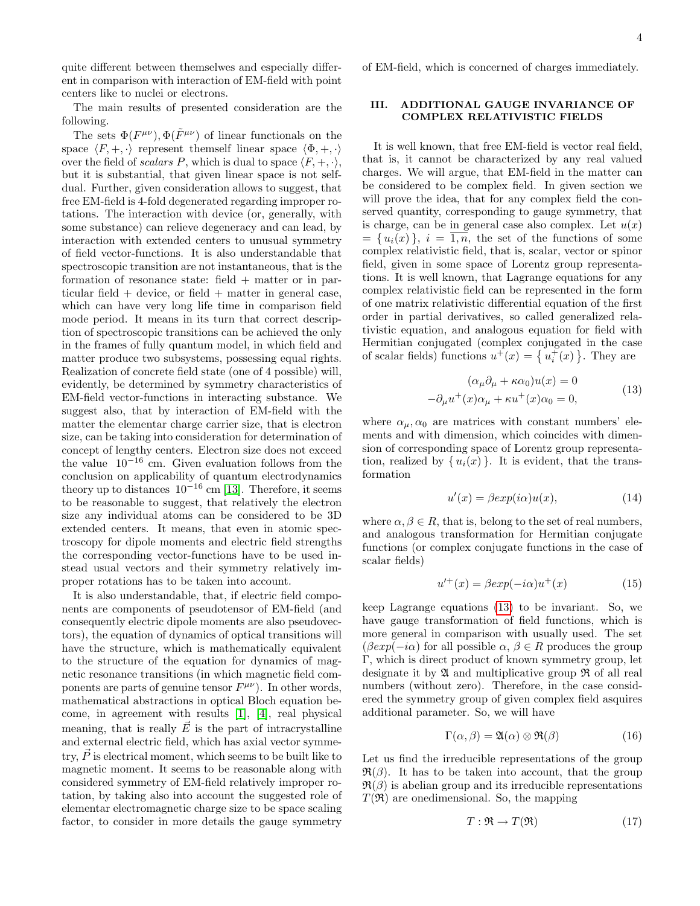quite different between themselwes and especially different in comparison with interaction of EM-field with point centers like to nuclei or electrons.

The main results of presented consideration are the following.

The sets  $\Phi(F^{\mu\nu}), \Phi(\tilde{F}^{\mu\nu})$  of linear functionals on the space  $\langle F, +, \cdot \rangle$  represent themself linear space  $\langle \Phi, +, \cdot \rangle$ over the field of scalars P, which is dual to space  $\langle F, +, \cdot \rangle$ , but it is substantial, that given linear space is not selfdual. Further, given consideration allows to suggest, that free EM-field is 4-fold degenerated regarding improper rotations. The interaction with device (or, generally, with some substance) can relieve degeneracy and can lead, by interaction with extended centers to unusual symmetry of field vector-functions. It is also understandable that spectroscopic transition are not instantaneous, that is the formation of resonance state: field  $+$  matter or in particular field  $+$  device, or field  $+$  matter in general case, which can have very long life time in comparison field mode period. It means in its turn that correct description of spectroscopic transitions can be achieved the only in the frames of fully quantum model, in which field and matter produce two subsystems, possessing equal rights. Realization of concrete field state (one of 4 possible) will, evidently, be determined by symmetry characteristics of EM-field vector-functions in interacting substance. We suggest also, that by interaction of EM-field with the matter the elementar charge carrier size, that is electron size, can be taking into consideration for determination of concept of lengthy centers. Electron size does not exceed the value  $10^{-16}$  cm. Given evaluation follows from the conclusion on applicability of quantum electrodynamics theory up to distances  $10^{-16}$  cm [\[13\]](#page-7-12). Therefore, it seems to be reasonable to suggest, that relatively the electron size any individual atoms can be considered to be 3D extended centers. It means, that even in atomic spectroscopy for dipole moments and electric field strengths the corresponding vector-functions have to be used instead usual vectors and their symmetry relatively improper rotations has to be taken into account.

It is also understandable, that, if electric field components are components of pseudotensor of EM-field (and consequently electric dipole moments are also pseudovectors), the equation of dynamics of optical transitions will have the structure, which is mathematically equivalent to the structure of the equation for dynamics of magnetic resonance transitions (in which magnetic field components are parts of genuine tensor  $F^{\mu\nu}$ ). In other words, mathematical abstractions in optical Bloch equation become, in agreement with results [\[1\]](#page-7-0), [\[4\]](#page-7-3), real physical meaning, that is really  $\vec{E}$  is the part of intracrystalline and external electric field, which has axial vector symmetry,  $\vec{P}$  is electrical moment, which seems to be built like to magnetic moment. It seems to be reasonable along with considered symmetry of EM-field relatively improper rotation, by taking also into account the suggested role of elementar electromagnetic charge size to be space scaling factor, to consider in more details the gauge symmetry

### of EM-field, which is concerned of charges immediately.

### III. ADDITIONAL GAUGE INVARIANCE OF COMPLEX RELATIVISTIC FIELDS

It is well known, that free EM-field is vector real field, that is, it cannot be characterized by any real valued charges. We will argue, that EM-field in the matter can be considered to be complex field. In given section we will prove the idea, that for any complex field the conserved quantity, corresponding to gauge symmetry, that is charge, can be in general case also complex. Let  $u(x)$  $=\{u_i(x)\}\$ ,  $i=\overline{1,n}$ , the set of the functions of some complex relativistic field, that is, scalar, vector or spinor field, given in some space of Lorentz group representations. It is well known, that Lagrange equations for any complex relativistic field can be represented in the form of one matrix relativistic differential equation of the first order in partial derivatives, so called generalized relativistic equation, and analogous equation for field with Hermitian conjugated (complex conjugated in the case of scalar fields) functions  $u^+(x) = \{u_i^+(x)\}\$ . They are

$$
(\alpha_{\mu}\partial_{\mu} + \kappa\alpha_{0})u(x) = 0
$$
  

$$
-\partial_{\mu}u^{+}(x)\alpha_{\mu} + \kappa u^{+}(x)\alpha_{0} = 0,
$$
 (13)

<span id="page-3-0"></span>where  $\alpha_{\mu}, \alpha_0$  are matrices with constant numbers' elements and with dimension, which coincides with dimension of corresponding space of Lorentz group representation, realized by  $\{u_i(x)\}\$ . It is evident, that the transformation

<span id="page-3-1"></span>
$$
u'(x) = \beta \exp(i\alpha)u(x), \tag{14}
$$

where  $\alpha, \beta \in R$ , that is, belong to the set of real numbers, and analogous transformation for Hermitian conjugate functions (or complex conjugate functions in the case of scalar fields)

<span id="page-3-2"></span>
$$
u^{\prime +}(x) = \beta \exp(-i\alpha)u^{+}(x) \tag{15}
$$

keep Lagrange equations [\(13\)](#page-3-0) to be invariant. So, we have gauge transformation of field functions, which is more general in comparison with usually used. The set  $(\beta exp(-i\alpha)$  for all possible  $\alpha, \beta \in R$  produces the group Γ, which is direct product of known symmetry group, let designate it by  $\mathfrak A$  and multiplicative group  $\mathfrak R$  of all real numbers (without zero). Therefore, in the case considered the symmetry group of given complex field asquires additional parameter. So, we will have

$$
\Gamma(\alpha, \beta) = \mathfrak{A}(\alpha) \otimes \mathfrak{R}(\beta) \tag{16}
$$

Let us find the irreducible representations of the group  $\mathfrak{R}(\beta)$ . It has to be taken into account, that the group  $\mathfrak{R}(\beta)$  is abelian group and its irreducible representations  $T(\mathfrak{R})$  are onedimensional. So, the mapping

$$
T: \mathfrak{R} \to T(\mathfrak{R})\tag{17}
$$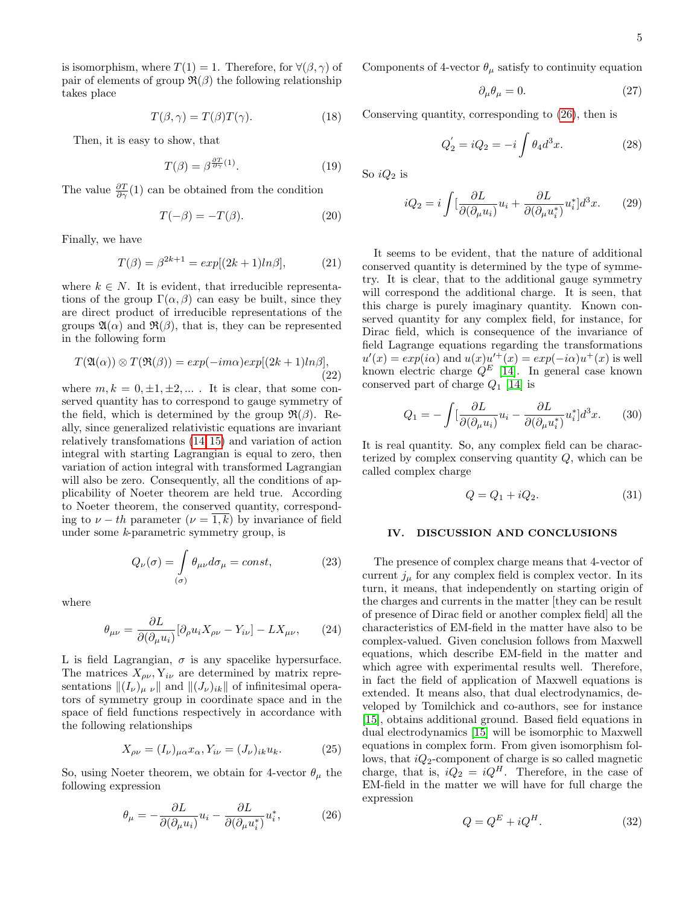is isomorphism, where  $T(1) = 1$ . Therefore, for  $\forall (\beta, \gamma)$  of pair of elements of group  $\mathfrak{R}(\beta)$  the following relationship takes place

$$
T(\beta, \gamma) = T(\beta)T(\gamma). \tag{18}
$$

Then, it is easy to show, that

$$
T(\beta) = \beta^{\frac{\partial T}{\partial \gamma}(1)}.\tag{19}
$$

The value  $\frac{\partial T}{\partial \gamma}(1)$  can be obtained from the condition

$$
T(-\beta) = -T(\beta). \tag{20}
$$

Finally, we have

$$
T(\beta) = \beta^{2k+1} = exp[(2k+1)ln\beta],
$$
 (21)

where  $k \in N$ . It is evident, that irreducible representations of the group  $\Gamma(\alpha, \beta)$  can easy be built, since they are direct product of irreducible representations of the groups  $\mathfrak{A}(\alpha)$  and  $\mathfrak{R}(\beta)$ , that is, they can be represented in the following form

$$
T(\mathfrak{A}(\alpha)) \otimes T(\mathfrak{R}(\beta)) = exp(-im\alpha)exp[(2k+1)ln\beta],
$$
\n(22)

where  $m, k = 0, \pm 1, \pm 2, \dots$ . It is clear, that some conserved quantity has to correspond to gauge symmetry of the field, which is determined by the group  $\mathfrak{R}(\beta)$ . Really, since generalized relativistic equations are invariant relatively transfomations [\(14](#page-3-1), [15\)](#page-3-2) and variation of action integral with starting Lagrangian is equal to zero, then variation of action integral with transformed Lagrangian will also be zero. Consequently, all the conditions of applicability of Noeter theorem are held true. According to Noeter theorem, the conserved quantity, corresponding to  $\nu - th$  parameter  $(\nu = 1, k)$  by invariance of field under some k-parametric symmetry group, is

$$
Q_{\nu}(\sigma) = \int_{(\sigma)} \theta_{\mu\nu} d\sigma_{\mu} = const,
$$
 (23)

where

$$
\theta_{\mu\nu} = \frac{\partial L}{\partial(\partial_{\mu}u_i)}[\partial_{\rho}u_i X_{\rho\nu} - Y_{i\nu}] - LX_{\mu\nu},\qquad(24)
$$

L is field Lagrangian,  $\sigma$  is any spacelike hypersurface. The matrices  $X_{\rho\nu}$ ,  $Y_{i\nu}$  are determined by matrix representations  $\|(I_{\nu})_{\mu\nu}\|$  and  $\|(J_{\nu})_{ik}\|$  of infinitesimal operators of symmetry group in coordinate space and in the space of field functions respectively in accordance with the following relationships

$$
X_{\rho\nu} = (I_{\nu})_{\mu\alpha} x_{\alpha}, Y_{i\nu} = (J_{\nu})_{ik} u_k.
$$
 (25)

So, using Noeter theorem, we obtain for 4-vector  $\theta_{\mu}$  the following expression

<span id="page-4-0"></span>
$$
\theta_{\mu} = -\frac{\partial L}{\partial(\partial_{\mu}u_i)}u_i - \frac{\partial L}{\partial(\partial_{\mu}u_i^*)}u_i^*,\tag{26}
$$

Components of 4-vector  $\theta_{\mu}$  satisfy to continuity equation

$$
\partial_{\mu}\theta_{\mu} = 0. \tag{27}
$$

Conserving quantity, corresponding to [\(26\)](#page-4-0), then is

$$
Q_2^{'} = iQ_2 = -i \int \theta_4 d^3 x. \tag{28}
$$

So  $iQ_2$  is

<span id="page-4-1"></span>
$$
iQ_2 = i \int \left[\frac{\partial L}{\partial(\partial_\mu u_i)} u_i + \frac{\partial L}{\partial(\partial_\mu u_i^*)} u_i^*\right] d^3x. \tag{29}
$$

It seems to be evident, that the nature of additional conserved quantity is determined by the type of symmetry. It is clear, that to the additional gauge symmetry will correspond the additional charge. It is seen, that this charge is purely imaginary quantity. Known conserved quantity for any complex field, for instance, for Dirac field, which is consequence of the invariance of field Lagrange equations regarding the transformations  $u'(x) = exp(i\alpha)$  and  $u(x)u'^{+}(x) = exp(-i\alpha)u^{+}(x)$  is well known electric charge  $Q^E$  [\[14\]](#page-7-13). In general case known conserved part of charge  $Q_1$  [\[14\]](#page-7-13) is

$$
Q_1 = -\int \left[\frac{\partial L}{\partial(\partial_\mu u_i)} u_i - \frac{\partial L}{\partial(\partial_\mu u_i^*)} u_i^*\right] d^3 x. \tag{30}
$$

It is real quantity. So, any complex field can be characterized by complex conserving quantity  $Q$ , which can be called complex charge

$$
Q = Q_1 + iQ_2. \tag{31}
$$

# IV. DISCUSSION AND CONCLUSIONS

The presence of complex charge means that 4-vector of current  $j_{\mu}$  for any complex field is complex vector. In its turn, it means, that independently on starting origin of the charges and currents in the matter [they can be result of presence of Dirac field or another complex field] all the characteristics of EM-field in the matter have also to be complex-valued. Given conclusion follows from Maxwell equations, which describe EM-field in the matter and which agree with experimental results well. Therefore, in fact the field of application of Maxwell equations is extended. It means also, that dual electrodynamics, developed by Tomilchick and co-authors, see for instance [\[15\]](#page-7-14), obtains additional ground. Based field equations in dual electrodynamics [\[15\]](#page-7-14) will be isomorphic to Maxwell equations in complex form. From given isomorphism follows, that  $iQ_2$ -component of charge is so called magnetic charge, that is,  $i\dot{Q}_2 = iQ^H$ . Therefore, in the case of EM-field in the matter we will have for full charge the expression

$$
Q = Q^E + iQ^H.
$$
\n(32)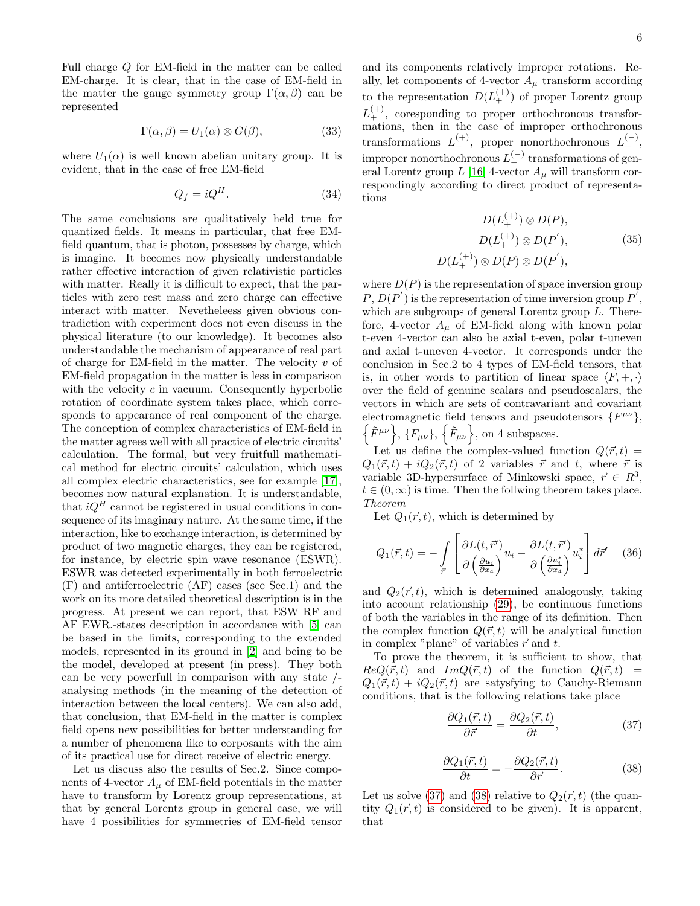Full charge Q for EM-field in the matter can be called EM-charge. It is clear, that in the case of EM-field in the matter the gauge symmetry group  $\Gamma(\alpha, \beta)$  can be represented

$$
\Gamma(\alpha, \beta) = U_1(\alpha) \otimes G(\beta), \tag{33}
$$

where  $U_1(\alpha)$  is well known abelian unitary group. It is evident, that in the case of free EM-field

$$
Q_f = iQ^H. \tag{34}
$$

The same conclusions are qualitatively held true for quantized fields. It means in particular, that free EMfield quantum, that is photon, possesses by charge, which is imagine. It becomes now physically understandable rather effective interaction of given relativistic particles with matter. Really it is difficult to expect, that the particles with zero rest mass and zero charge can effective interact with matter. Nevetheleess given obvious contradiction with experiment does not even discuss in the physical literature (to our knowledge). It becomes also understandable the mechanism of appearance of real part of charge for EM-field in the matter. The velocity  $v$  of EM-field propagation in the matter is less in comparison with the velocity  $c$  in vacuum. Consequently hyperbolic rotation of coordinate system takes place, which corresponds to appearance of real component of the charge. The conception of complex characteristics of EM-field in the matter agrees well with all practice of electric circuits' calculation. The formal, but very fruitfull mathematical method for electric circuits' calculation, which uses all complex electric characteristics, see for example [\[17\]](#page-7-15), becomes now natural explanation. It is understandable, that  $iQ^H$  cannot be registered in usual conditions in consequence of its imaginary nature. At the same time, if the interaction, like to exchange interaction, is determined by product of two magnetic charges, they can be registered, for instance, by electric spin wave resonance (ESWR). ESWR was detected experimentally in both ferroelectric (F) and antiferroelectric (AF) cases (see Sec.1) and the work on its more detailed theoretical description is in the progress. At present we can report, that ESW RF and AF EWR.-states description in accordance with [\[5\]](#page-7-4) can be based in the limits, corresponding to the extended models, represented in its ground in [\[2\]](#page-7-1) and being to be the model, developed at present (in press). They both can be very powerfull in comparison with any state / analysing methods (in the meaning of the detection of interaction between the local centers). We can also add, that conclusion, that EM-field in the matter is complex field opens new possibilities for better understanding for a number of phenomena like to corposants with the aim of its practical use for direct receive of electric energy.

Let us discuss also the results of Sec.2. Since components of 4-vector  $A_{\mu}$  of EM-field potentials in the matter have to transform by Lorentz group representations, at that by general Lorentz group in general case, we will have 4 possibilities for symmetries of EM-field tensor

and its components relatively improper rotations. Really, let components of 4-vector  $A_\mu$  transform according to the representation  $D(L_{+}^{(+)})$  of proper Lorentz group  $L_{+}^{(+)}$ , coresponding to proper orthochronous transformations, then in the case of improper orthochronous transformations  $L_{-}^{(+)}$ , proper nonorthochronous  $L_{+}^{(-)}$ , improper nonorthochronous  $L_{-}^{(-)}$  transformations of gen-eral Lorentz group L [\[16\]](#page-7-16) 4-vector  $A_\mu$  will transform correspondingly according to direct product of representations

$$
D(L_{+}^{(+)}) \otimes D(P),
$$
  
\n
$$
D(L_{+}^{(+)}) \otimes D(P'),
$$
  
\n
$$
D(L_{+}^{(+)}) \otimes D(P) \otimes D(P'),
$$
  
\n(35)

where  $D(P)$  is the representation of space inversion group  $P, D(P')$  is the representation of time inversion group  $P'$ , which are subgroups of general Lorentz group  $L$ . Therefore, 4-vector  $A_{\mu}$  of EM-field along with known polar t-even 4-vector can also be axial t-even, polar t-uneven and axial t-uneven 4-vector. It corresponds under the conclusion in Sec.2 to 4 types of EM-field tensors, that is, in other words to partition of linear space  $\langle F, +, \cdot \rangle$ over the field of genuine scalars and pseudoscalars, the vectors in which are sets of contravariant and covariant electromagnetic field tensors and pseudotensors  $\{F^{\mu\nu}\},\$  $\{\tilde{F}^{\mu\nu}\}, \{F_{\mu\nu}\}, \{\tilde{F}_{\mu\nu}\}, \text{ on 4 subspaces.}$ 

Let us define the complex-valued function  $Q(\vec{r}, t)$  =  $Q_1(\vec{r}, t) + iQ_2(\vec{r}, t)$  of 2 variables  $\vec{r}$  and t, where  $\vec{r}$  is variable 3D-hypersurface of Minkowski space,  $\vec{r} \in R^3$ ,  $t \in (0, \infty)$  is time. Then the follwing theorem takes place. Theorem

Let  $Q_1(\vec{r}, t)$ , which is determined by

$$
Q_1(\vec{r},t) = -\int\limits_{\vec{r}} \left[ \frac{\partial L(t,\vec{r}')}{\partial \left(\frac{\partial u_i}{\partial x_4}\right)} u_i - \frac{\partial L(t,\vec{r}')}{\partial \left(\frac{\partial u_i^*}{\partial x_4}\right)} u_i^* \right] d\vec{r}' \quad (36)
$$

and  $Q_2(\vec{r}, t)$ , which is determined analogously, taking into account relationship [\(29\)](#page-4-1), be continuous functions of both the variables in the range of its definition. Then the complex function  $Q(\vec{r}, t)$  will be analytical function in complex "plane" of variables  $\vec{r}$  and t.

To prove the theorem, it is sufficient to show, that  $ReQ(\vec{r}, t)$  and  $ImQ(\vec{r}, t)$  of the function  $Q(\vec{r}, t)$  =  $Q_1(\vec{r}, t) + iQ_2(\vec{r}, t)$  are satysfying to Cauchy-Riemann conditions, that is the following relations take place

<span id="page-5-0"></span>
$$
\frac{\partial Q_1(\vec{r},t)}{\partial \vec{r}} = \frac{\partial Q_2(\vec{r},t)}{\partial t},\tag{37}
$$

<span id="page-5-1"></span>
$$
\frac{\partial Q_1(\vec{r},t)}{\partial t} = -\frac{\partial Q_2(\vec{r},t)}{\partial \vec{r}}.
$$
\n(38)

Let us solve [\(37\)](#page-5-0) and [\(38\)](#page-5-1) relative to  $Q_2(\vec{r},t)$  (the quantity  $Q_1(\vec{r}, t)$  is considered to be given). It is apparent, that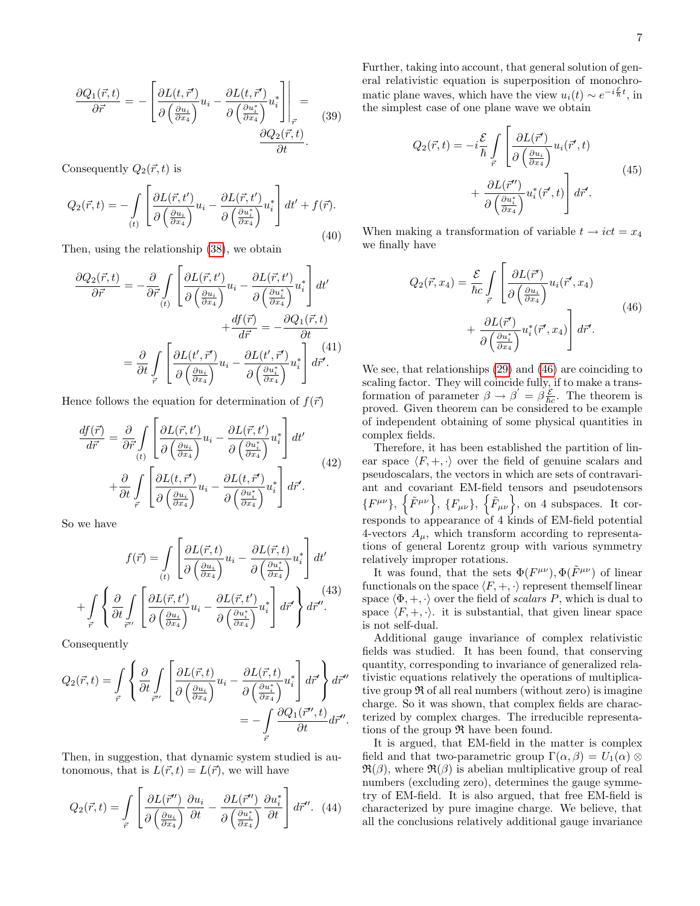$$
\frac{\partial Q_1(\vec{r},t)}{\partial \vec{r}} = -\left[ \frac{\partial L(t,\vec{r}')}{\partial \left( \frac{\partial u_i}{\partial x_4} \right)} u_i - \frac{\partial L(t,\vec{r}')}{\partial \left( \frac{\partial u_i^*}{\partial x_4} \right)} u_i^* \right] \Big|_{\vec{r}} = \frac{\partial Q_2(\vec{r},t)}{\partial t}.
$$
(39)

Consequently  $Q_2(\vec{r}, t)$  is

$$
Q_2(\vec{r},t) = -\int\limits_{(t)} \left[ \frac{\partial L(\vec{r},t')}{\partial \left(\frac{\partial u_i}{\partial x_4}\right)} u_i - \frac{\partial L(\vec{r},t')}{\partial \left(\frac{\partial u_i^*}{\partial x_4}\right)} u_i^* \right] dt' + f(\vec{r}).
$$
\n(40)

Then, using the relationship [\(38\)](#page-5-1), we obtain

$$
\frac{\partial Q_2(\vec{r},t)}{\partial \vec{r}} = -\frac{\partial}{\partial \vec{r}} \int \left[ \frac{\partial L(\vec{r},t')}{\partial \left(\frac{\partial u_i}{\partial x_4}\right)} u_i - \frac{\partial L(\vec{r},t')}{\partial \left(\frac{\partial u_i^*}{\partial x_4}\right)} u_i^* \right] dt' \n+ \frac{df(\vec{r})}{d\vec{r}} = -\frac{\partial Q_1(\vec{r},t)}{\partial t} \n= \frac{\partial}{\partial t} \int \left[ \frac{\partial L(t',\vec{r}')}{\partial \left(\frac{\partial u_i}{\partial x_4}\right)} u_i - \frac{\partial L(t',\vec{r}')}{\partial \left(\frac{\partial u_i^*}{\partial x_4}\right)} u_i^* \right] d\vec{r}'.
$$
\n(41)

Hence follows the equation for determination of  $f(\vec{r})$ 

$$
\frac{df(\vec{r})}{d\vec{r}} = \frac{\partial}{\partial \vec{r}} \int \left[ \frac{\partial L(\vec{r}, t')}{\partial \left( \frac{\partial u_i}{\partial x_4} \right)} u_i - \frac{\partial L(\vec{r}, t')}{\partial \left( \frac{\partial u_i^*}{\partial x_4} \right)} u_i^* \right] dt'
$$
\n
$$
+ \frac{\partial}{\partial t} \int \left[ \frac{\partial L(t, \vec{r}')}{\partial \left( \frac{\partial u_i}{\partial x_4} \right)} u_i - \frac{\partial L(t, \vec{r}')}{\partial \left( \frac{\partial u_i^*}{\partial x_4} \right)} u_i^* \right] d\vec{r}'. \tag{42}
$$

So we have

$$
f(\vec{r}) = \int_{(t)} \left[ \frac{\partial L(\vec{r}, t)}{\partial \left( \frac{\partial u_i}{\partial x_4} \right)} u_i - \frac{\partial L(\vec{r}, t)}{\partial \left( \frac{\partial u_i^*}{\partial x_4} \right)} u_i^* \right] dt'
$$

$$
+ \int_{\vec{r}} \left\{ \frac{\partial}{\partial t} \int_{\vec{r}''} \left[ \frac{\partial L(\vec{r}, t')}{\partial \left( \frac{\partial u_i}{\partial x_4} \right)} u_i - \frac{\partial L(\vec{r}, t')}{\partial \left( \frac{\partial u_i^*}{\partial x_4} \right)} u_i^* \right] d\vec{r}' \right\} d\vec{r}'.
$$
(43)

Consequently

$$
Q_2(\vec{r},t) = \int_{\vec{r}} \left\{ \frac{\partial}{\partial t} \int_{\vec{r}''} \left[ \frac{\partial L(\vec{r},t)}{\partial \left( \frac{\partial u_i}{\partial x_4} \right)} u_i - \frac{\partial L(\vec{r},t)}{\partial \left( \frac{\partial u_i^*}{\partial x_4} \right)} u_i^* \right] d\vec{r}' \right\} d\vec{r}''
$$
  
= 
$$
- \int_{\vec{r}} \frac{\partial Q_1(\vec{r}'',t)}{\partial t} d\vec{r}''.
$$

Then, in suggestion, that dynamic system studied is autonomous, that is  $L(\vec{r}, t) = L(\vec{r})$ , we will have

$$
Q_2(\vec{r},t) = \int\limits_{\vec{r}} \left[ \frac{\partial L(\vec{r}'')}{\partial \left( \frac{\partial u_i}{\partial x_4} \right)} \frac{\partial u_i}{\partial t} - \frac{\partial L(\vec{r}'')}{\partial \left( \frac{\partial u_i^*}{\partial x_4} \right)} \frac{\partial u_i^*}{\partial t} \right] d\vec{r}''.
$$
 (44)

Further, taking into account, that general solution of general relativistic equation is superposition of monochromatic plane waves, which have the view  $u_i(t) \sim e^{-i\frac{\mathcal{E}}{\hbar}t}$ , in the simplest case of one plane wave we obtain

$$
Q_2(\vec{r},t) = -i\frac{\mathcal{E}}{\hbar} \int_{\vec{r}} \left[ \frac{\partial L(\vec{r}')}{\partial \left(\frac{\partial u_i}{\partial x_4}\right)} u_i(\vec{r}',t) \right. \\
\left. + \frac{\partial L(\vec{r}'')}{\partial \left(\frac{\partial u_i^*}{\partial x_4}\right)} u_i^*(\vec{r}',t) \right] d\vec{r}'. \tag{45}
$$

When making a transformation of variable  $t \rightarrow ict = x_4$ we finally have

<span id="page-6-0"></span>
$$
Q_2(\vec{r}, x_4) = \frac{\mathcal{E}}{\hbar c} \int_{\vec{r}} \left[ \frac{\partial L(\vec{r}')}{\partial \left( \frac{\partial u_i}{\partial x_4} \right)} u_i(\vec{r}', x_4) \right. \\
\left. + \frac{\partial L(\vec{r}')}{\partial \left( \frac{\partial u_i^*}{\partial x_4} \right)} u_i^*(\vec{r}', x_4) \right] d\vec{r}'.\n\tag{46}
$$

We see, that relationships [\(29\)](#page-4-1) and [\(46\)](#page-6-0) are coinciding to scaling factor. They will coincide fully, if to make a transformation of parameter  $\beta \to \beta' = \beta \frac{\varepsilon}{\hbar c}$ . The theorem is proved. Given theorem can be considered to be example of independent obtaining of some physical quantities in complex fields.

Therefore, it has been established the partition of linear space  $\langle F, +, \cdot \rangle$  over the field of genuine scalars and pseudoscalars, the vectors in which are sets of contravariant and covariant EM-field tensors and pseudotensors  $\{F^{\mu\nu}\}, \{\tilde{F}_{\mu\nu}\}, \{\tilde{F}_{\mu\nu}\}, \text{ on 4 subspaces. It cor$ responds to appearance of 4 kinds of EM-field potential 4-vectors  $A_{\mu}$ , which transform according to representations of general Lorentz group with various symmetry relatively improper rotations.

It was found, that the sets  $\Phi(F^{\mu\nu}), \Phi(\tilde{F}^{\mu\nu})$  of linear functionals on the space  $\langle F, +, \cdot \rangle$  represent themself linear space  $\langle \Phi, +, \cdot \rangle$  over the field of scalars P, which is dual to space  $\langle F, +, \cdot \rangle$  it is substantial, that given linear space is not self-dual.

Additional gauge invariance of complex relativistic fields was studied. It has been found, that conserving quantity, corresponding to invariance of generalized relativistic equations relatively the operations of multiplicative group  $\Re$  of all real numbers (without zero) is imagine charge. So it was shown, that complex fields are characterized by complex charges. The irreducible representations of the group  $\Re$  have been found.

It is argued, that EM-field in the matter is complex field and that two-parametric group  $\Gamma(\alpha, \beta) = U_1(\alpha) \otimes$  $\mathfrak{R}(\beta)$ , where  $\mathfrak{R}(\beta)$  is abelian multiplicative group of real numbers (excluding zero), determines the gauge symmetry of EM-field. It is also argued, that free EM-field is characterized by pure imagine charge. We believe, that all the conclusions relatively additional gauge invariance